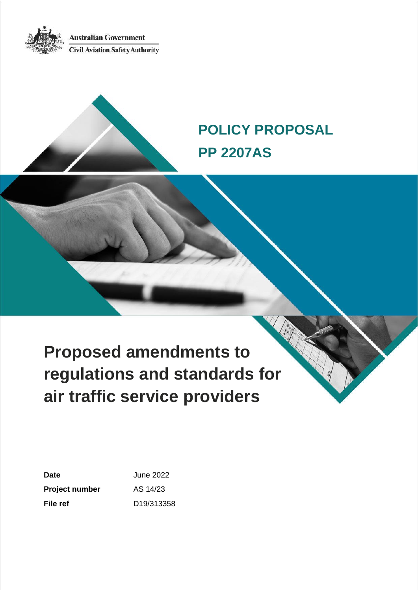**Australian Government Civil Aviation Safety Authority** 



# **POLICY PROPOSAL PP 2207AS**

**Proposed amendments to regulations and standards for air traffic service providers**

| Date           | June 2022  |
|----------------|------------|
| Project number | AS 14/23   |
| File ref       | D19/313358 |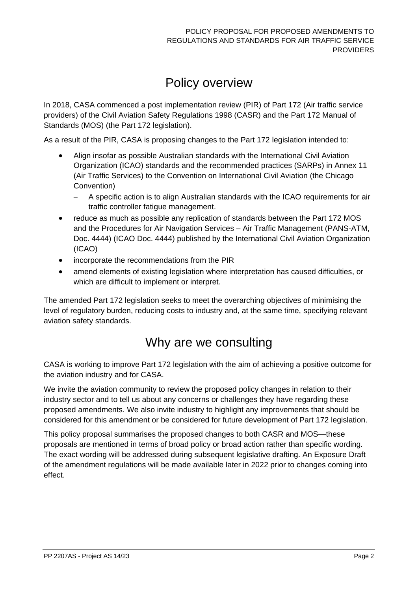## Policy overview

In 2018, CASA commenced a post implementation review (PIR) of Part 172 (Air traffic service providers) of the Civil Aviation Safety Regulations 1998 (CASR) and the Part 172 Manual of Standards (MOS) (the Part 172 legislation).

As a result of the PIR, CASA is proposing changes to the Part 172 legislation intended to:

- Align insofar as possible Australian standards with the International Civil Aviation Organization (ICAO) standards and the recommended practices (SARPs) in Annex 11 (Air Traffic Services) to the Convention on International Civil Aviation (the Chicago Convention)
	- − A specific action is to align Australian standards with the ICAO requirements for air traffic controller fatigue management.
- reduce as much as possible any replication of standards between the Part 172 MOS and the Procedures for Air Navigation Services – Air Traffic Management (PANS-ATM, Doc. 4444) (ICAO Doc. 4444) published by the International Civil Aviation Organization (ICAO)
- incorporate the recommendations from the PIR
- amend elements of existing legislation where interpretation has caused difficulties, or which are difficult to implement or interpret.

The amended Part 172 legislation seeks to meet the overarching objectives of minimising the level of regulatory burden, reducing costs to industry and, at the same time, specifying relevant aviation safety standards.

## Why are we consulting

CASA is working to improve Part 172 legislation with the aim of achieving a positive outcome for the aviation industry and for CASA.

We invite the aviation community to review the proposed policy changes in relation to their industry sector and to tell us about any concerns or challenges they have regarding these proposed amendments. We also invite industry to highlight any improvements that should be considered for this amendment or be considered for future development of Part 172 legislation.

This policy proposal summarises the proposed changes to both CASR and MOS—these proposals are mentioned in terms of broad policy or broad action rather than specific wording. The exact wording will be addressed during subsequent legislative drafting. An Exposure Draft of the amendment regulations will be made available later in 2022 prior to changes coming into effect.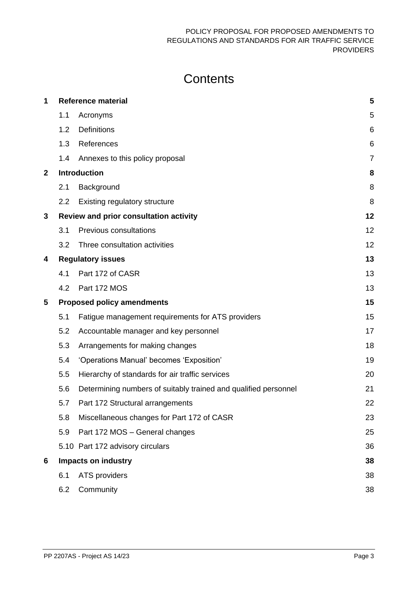## **Contents**

| 1              | <b>Reference material</b><br>5 |                                                                 |                |
|----------------|--------------------------------|-----------------------------------------------------------------|----------------|
|                | 1.1                            | Acronyms                                                        | 5              |
|                | 1.2                            | <b>Definitions</b>                                              | 6              |
|                | 1.3                            | References                                                      | 6              |
|                | 1.4                            | Annexes to this policy proposal                                 | $\overline{7}$ |
| $\overline{2}$ |                                | <b>Introduction</b>                                             | 8              |
|                | 2.1                            | Background                                                      | 8              |
|                | $2.2\phantom{0}$               | Existing regulatory structure                                   | 8              |
| 3              |                                | Review and prior consultation activity                          | 12             |
|                | 3.1                            | <b>Previous consultations</b>                                   | 12             |
|                | 3.2                            | Three consultation activities                                   | 12             |
| 4              |                                | <b>Regulatory issues</b>                                        | 13             |
|                | 4.1                            | Part 172 of CASR                                                | 13             |
|                | 4.2                            | Part 172 MOS                                                    | 13             |
| 5              |                                | <b>Proposed policy amendments</b>                               | 15             |
|                |                                | Fatigue management requirements for ATS providers               |                |
|                | 5.1                            |                                                                 | 15             |
|                | 5.2                            | Accountable manager and key personnel                           | 17             |
|                | 5.3                            | Arrangements for making changes                                 | 18             |
|                | 5.4                            | 'Operations Manual' becomes 'Exposition'                        | 19             |
|                | 5.5                            | Hierarchy of standards for air traffic services                 | 20             |
|                | 5.6                            | Determining numbers of suitably trained and qualified personnel | 21             |
|                | 5.7                            | Part 172 Structural arrangements                                | 22             |
|                | 5.8                            | Miscellaneous changes for Part 172 of CASR                      | 23             |
|                | 5.9                            | Part 172 MOS - General changes                                  | 25             |
|                |                                | 5.10 Part 172 advisory circulars                                | 36             |
| 6              |                                | <b>Impacts on industry</b>                                      | 38             |
|                | 6.1                            | ATS providers                                                   | 38             |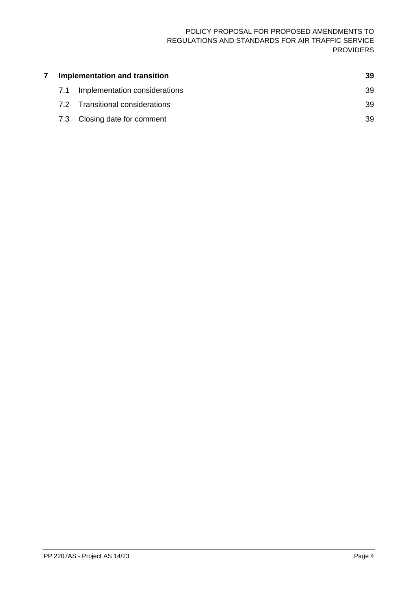| Implementation and transition |     | 39                              |    |
|-------------------------------|-----|---------------------------------|----|
|                               | 7.1 | Implementation considerations   | 39 |
|                               |     | 7.2 Transitional considerations | 39 |
|                               |     | 7.3 Closing date for comment    | 39 |
|                               |     |                                 |    |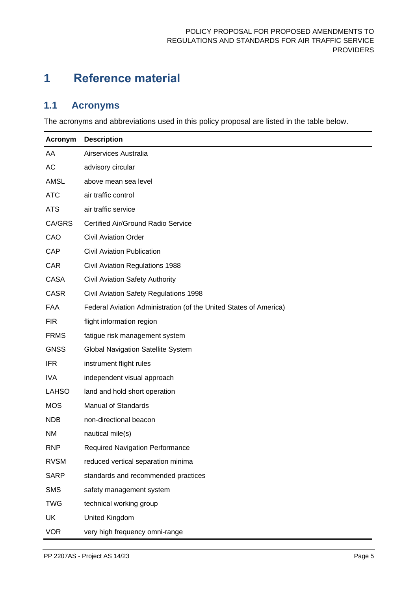## <span id="page-4-0"></span>**1 Reference material**

## <span id="page-4-1"></span>**1.1 Acronyms**

The acronyms and abbreviations used in this policy proposal are listed in the table below.

| Acronym      | <b>Description</b>                                                |
|--------------|-------------------------------------------------------------------|
| AA           | Airservices Australia                                             |
| AC           | advisory circular                                                 |
| <b>AMSL</b>  | above mean sea level                                              |
| <b>ATC</b>   | air traffic control                                               |
| <b>ATS</b>   | air traffic service                                               |
| CA/GRS       | <b>Certified Air/Ground Radio Service</b>                         |
| CAO          | <b>Civil Aviation Order</b>                                       |
| CAP          | <b>Civil Aviation Publication</b>                                 |
| <b>CAR</b>   | <b>Civil Aviation Regulations 1988</b>                            |
| <b>CASA</b>  | <b>Civil Aviation Safety Authority</b>                            |
| <b>CASR</b>  | Civil Aviation Safety Regulations 1998                            |
| FAA          | Federal Aviation Administration (of the United States of America) |
| <b>FIR</b>   | flight information region                                         |
| <b>FRMS</b>  | fatigue risk management system                                    |
| <b>GNSS</b>  | <b>Global Navigation Satellite System</b>                         |
| <b>IFR</b>   | instrument flight rules                                           |
| <b>IVA</b>   | independent visual approach                                       |
| <b>LAHSO</b> | land and hold short operation                                     |
| <b>MOS</b>   | <b>Manual of Standards</b>                                        |
| <b>NDB</b>   | non-directional beacon                                            |
| <b>NM</b>    | nautical mile(s)                                                  |
| <b>RNP</b>   | <b>Required Navigation Performance</b>                            |
| <b>RVSM</b>  | reduced vertical separation minima                                |
| <b>SARP</b>  | standards and recommended practices                               |
| <b>SMS</b>   | safety management system                                          |
| <b>TWG</b>   | technical working group                                           |
| UK           | United Kingdom                                                    |
| <b>VOR</b>   | very high frequency omni-range                                    |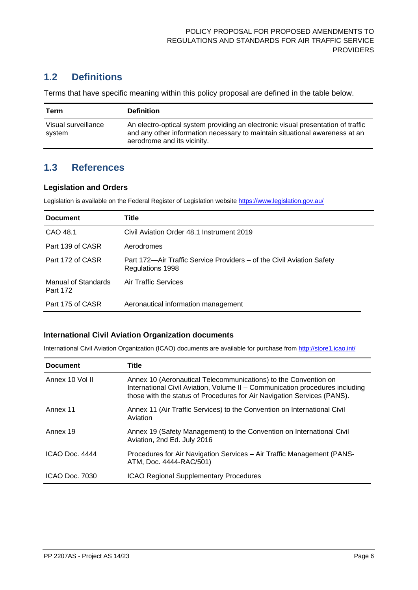## <span id="page-5-0"></span>**1.2 Definitions**

Terms that have specific meaning within this policy proposal are defined in the table below.

| Term                          | <b>Definition</b>                                                                                                                                                                              |
|-------------------------------|------------------------------------------------------------------------------------------------------------------------------------------------------------------------------------------------|
| Visual surveillance<br>svstem | An electro-optical system providing an electronic visual presentation of traffic<br>and any other information necessary to maintain situational awareness at an<br>aerodrome and its vicinity. |

## <span id="page-5-1"></span>**1.3 References**

#### **Legislation and Orders**

Legislation is available on the Federal Register of Legislation website<https://www.legislation.gov.au/>

| <b>Document</b>                 | Title                                                                                     |
|---------------------------------|-------------------------------------------------------------------------------------------|
| CAO 48.1                        | Civil Aviation Order 48.1 Instrument 2019                                                 |
| Part 139 of CASR                | Aerodromes                                                                                |
| Part 172 of CASR                | Part 172—Air Traffic Service Providers – of the Civil Aviation Safety<br>Regulations 1998 |
| Manual of Standards<br>Part 172 | Air Traffic Services                                                                      |
| Part 175 of CASR                | Aeronautical information management                                                       |

#### **International Civil Aviation Organization documents**

International Civil Aviation Organization (ICAO) documents are available for purchase from<http://store1.icao.int/>

| <b>Document</b> | Title                                                                                                                                                                                                                      |
|-----------------|----------------------------------------------------------------------------------------------------------------------------------------------------------------------------------------------------------------------------|
| Annex 10 Vol II | Annex 10 (Aeronautical Telecommunications) to the Convention on<br>International Civil Aviation, Volume II - Communication procedures including<br>those with the status of Procedures for Air Navigation Services (PANS). |
| Annex 11        | Annex 11 (Air Traffic Services) to the Convention on International Civil<br>Aviation                                                                                                                                       |
| Annex 19        | Annex 19 (Safety Management) to the Convention on International Civil<br>Aviation, 2nd Ed. July 2016                                                                                                                       |
| ICAO Doc. 4444  | Procedures for Air Navigation Services – Air Traffic Management (PANS-<br>ATM, Doc. 4444-RAC/501)                                                                                                                          |
| ICAO Doc. 7030  | <b>ICAO Regional Supplementary Procedures</b>                                                                                                                                                                              |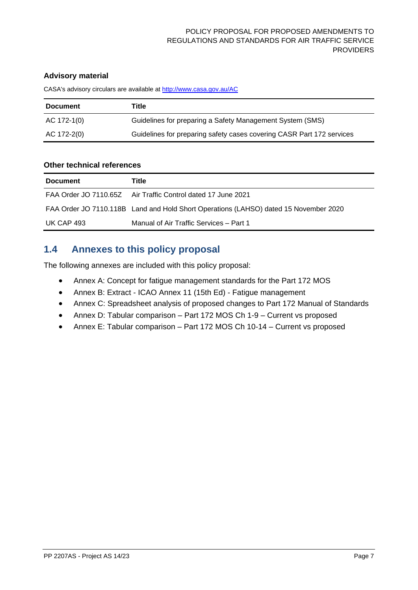#### **Advisory material**

CASA's advisory circulars are available at [http://www.casa.gov.au/AC](http://www.casa.gov.au/ACs)

| <b>Document</b> | Title                                                                 |
|-----------------|-----------------------------------------------------------------------|
| AC 172-1(0)     | Guidelines for preparing a Safety Management System (SMS)             |
| AC 172-2(0)     | Guidelines for preparing safety cases covering CASR Part 172 services |

#### **Other technical references**

| <b>Document</b> | Title                                                                                |
|-----------------|--------------------------------------------------------------------------------------|
|                 | <b>FAA Order JO 7110.65Z</b> Air Traffic Control dated 17 June 2021                  |
|                 | FAA Order JO 7110.118B Land and Hold Short Operations (LAHSO) dated 15 November 2020 |
| UK CAP 493      | Manual of Air Traffic Services - Part 1                                              |

## <span id="page-6-0"></span>**1.4 Annexes to this policy proposal**

The following annexes are included with this policy proposal:

- Annex A: Concept for fatigue management standards for the Part 172 MOS
- Annex B: Extract ICAO Annex 11 (15th Ed) Fatigue management
- Annex C: Spreadsheet analysis of proposed changes to Part 172 Manual of Standards
- Annex D: Tabular comparison Part 172 MOS Ch 1-9 Current vs proposed
- Annex E: Tabular comparison Part 172 MOS Ch 10-14 Current vs proposed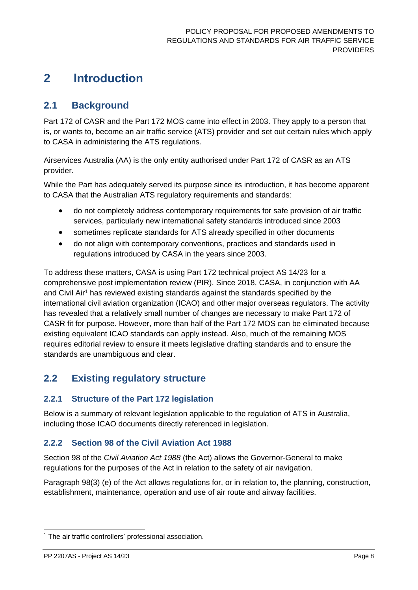## <span id="page-7-0"></span>**2 Introduction**

## <span id="page-7-1"></span>**2.1 Background**

Part 172 of CASR and the Part 172 MOS came into effect in 2003. They apply to a person that is, or wants to, become an air traffic service (ATS) provider and set out certain rules which apply to CASA in administering the ATS regulations.

Airservices Australia (AA) is the only entity authorised under Part 172 of CASR as an ATS provider.

While the Part has adequately served its purpose since its introduction, it has become apparent to CASA that the Australian ATS regulatory requirements and standards:

- do not completely address contemporary requirements for safe provision of air traffic services, particularly new international safety standards introduced since 2003
- sometimes replicate standards for ATS already specified in other documents
- do not align with contemporary conventions, practices and standards used in regulations introduced by CASA in the years since 2003.

To address these matters, CASA is using Part 172 technical project AS 14/23 for a comprehensive post implementation review (PIR). Since 2018, CASA, in conjunction with AA and Civil Air<sup>1</sup> has reviewed existing standards against the standards specified by the international civil aviation organization (ICAO) and other major overseas regulators. The activity has revealed that a relatively small number of changes are necessary to make Part 172 of CASR fit for purpose. However, more than half of the Part 172 MOS can be eliminated because existing equivalent ICAO standards can apply instead. Also, much of the remaining MOS requires editorial review to ensure it meets legislative drafting standards and to ensure the standards are unambiguous and clear.

## <span id="page-7-2"></span>**2.2 Existing regulatory structure**

### **2.2.1 Structure of the Part 172 legislation**

Below is a summary of relevant legislation applicable to the regulation of ATS in Australia, including those ICAO documents directly referenced in legislation.

## **2.2.2 Section 98 of the Civil Aviation Act 1988**

Section 98 of the *Civil Aviation Act 1988* (the Act) allows the Governor-General to make regulations for the purposes of the Act in relation to the safety of air navigation.

Paragraph 98(3) (e) of the Act allows regulations for, or in relation to, the planning, construction, establishment, maintenance, operation and use of air route and airway facilities.

<sup>&</sup>lt;sup>1</sup> The air traffic controllers' professional association.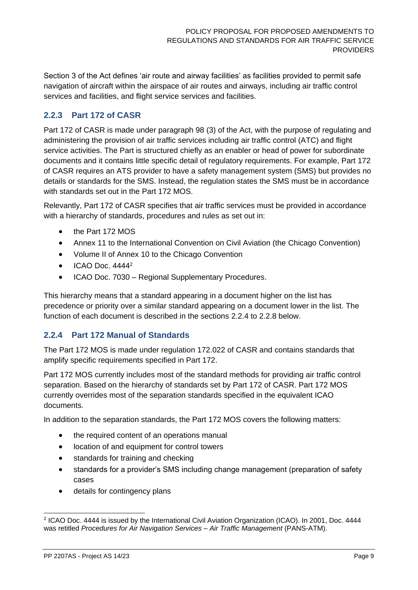Section 3 of the Act defines 'air route and airway facilities' as facilities provided to permit safe navigation of aircraft within the airspace of air routes and airways, including air traffic control services and facilities, and flight service services and facilities.

## <span id="page-8-1"></span>**2.2.3 Part 172 of CASR**

Part 172 of CASR is made under paragraph 98 (3) of the Act, with the purpose of regulating and administering the provision of air traffic services including air traffic control (ATC) and flight service activities. The Part is structured chiefly as an enabler or head of power for subordinate documents and it contains little specific detail of regulatory requirements. For example, Part 172 of CASR requires an ATS provider to have a safety management system (SMS) but provides no details or standards for the SMS. Instead, the regulation states the SMS must be in accordance with standards set out in the Part 172 MOS.

Relevantly, Part 172 of CASR specifies that air traffic services must be provided in accordance with a hierarchy of standards, procedures and rules as set out in:

- the Part 172 MOS
- Annex 11 to the International Convention on Civil Aviation (the Chicago Convention)
- Volume II of Annex 10 to the Chicago Convention
- ICAO Doc. 4444<sup>2</sup>
- ICAO Doc. 7030 Regional Supplementary Procedures.

This hierarchy means that a standard appearing in a document higher on the list has precedence or priority over a similar standard appearing on a document lower in the list. The function of each document is described in the sections [2.2.4](#page-8-0) to [2.2.8](#page-10-0) below.

### <span id="page-8-0"></span>**2.2.4 Part 172 Manual of Standards**

The Part 172 MOS is made under regulation 172.022 of CASR and contains standards that amplify specific requirements specified in Part 172.

Part 172 MOS currently includes most of the standard methods for providing air traffic control separation. Based on the hierarchy of standards set by Part 172 of CASR. Part 172 MOS currently overrides most of the separation standards specified in the equivalent ICAO documents.

In addition to the separation standards, the Part 172 MOS covers the following matters:

- the required content of an operations manual
- location of and equipment for control towers
- standards for training and checking
- standards for a provider's SMS including change management (preparation of safety cases
- details for contingency plans

<sup>2</sup> ICAO Doc. 4444 is issued by the International Civil Aviation Organization (ICAO). In 2001, Doc. 4444 was retitled *Procedures for Air Navigation Services – Air Traffic Management* (PANS-ATM).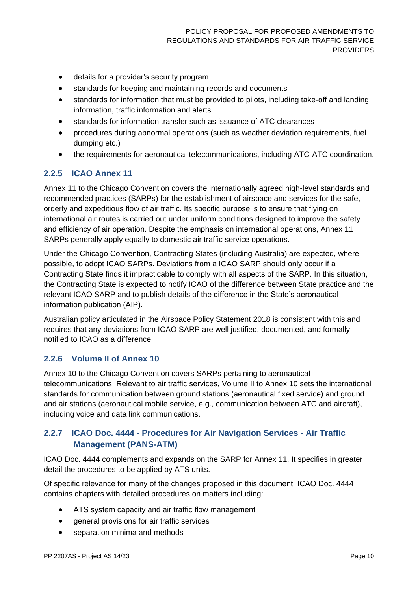- details for a provider's security program
- standards for keeping and maintaining records and documents
- standards for information that must be provided to pilots, including take-off and landing information, traffic information and alerts
- standards for information transfer such as issuance of ATC clearances
- procedures during abnormal operations (such as weather deviation requirements, fuel dumping etc.)
- the requirements for aeronautical telecommunications, including ATC-ATC coordination.

#### **2.2.5 ICAO Annex 11**

Annex 11 to the Chicago Convention covers the internationally agreed high-level standards and recommended practices (SARPs) for the establishment of airspace and services for the safe, orderly and expeditious flow of air traffic. Its specific purpose is to ensure that flying on international air routes is carried out under uniform conditions designed to improve the safety and efficiency of air operation. Despite the emphasis on international operations, Annex 11 SARPs generally apply equally to domestic air traffic service operations.

Under the Chicago Convention, Contracting States (including Australia) are expected, where possible, to adopt ICAO SARPs. Deviations from a ICAO SARP should only occur if a Contracting State finds it impracticable to comply with all aspects of the SARP. In this situation, the Contracting State is expected to notify ICAO of the difference between State practice and the relevant ICAO SARP and to publish details of the difference in the State's aeronautical information publication (AIP).

Australian policy articulated in the Airspace Policy Statement 2018 is consistent with this and requires that any deviations from ICAO SARP are well justified, documented, and formally notified to ICAO as a difference.

#### **2.2.6 Volume II of Annex 10**

Annex 10 to the Chicago Convention covers SARPs pertaining to aeronautical telecommunications. Relevant to air traffic services, Volume II to Annex 10 sets the international standards for communication between ground stations (aeronautical fixed service) and ground and air stations (aeronautical mobile service, e.g., communication between ATC and aircraft), including voice and data link communications.

### **2.2.7 ICAO Doc. 4444 - Procedures for Air Navigation Services - Air Traffic Management (PANS-ATM)**

ICAO Doc. 4444 complements and expands on the SARP for Annex 11. It specifies in greater detail the procedures to be applied by ATS units.

Of specific relevance for many of the changes proposed in this document, ICAO Doc. 4444 contains chapters with detailed procedures on matters including:

- ATS system capacity and air traffic flow management
- general provisions for air traffic services
- separation minima and methods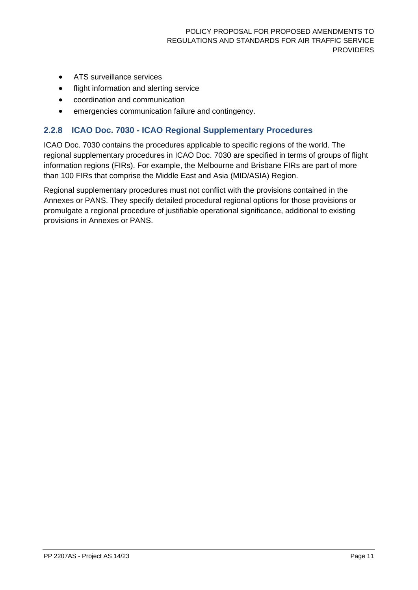- ATS surveillance services
- flight information and alerting service
- coordination and communication
- emergencies communication failure and contingency.

#### <span id="page-10-0"></span>**2.2.8 ICAO Doc. 7030 - ICAO Regional Supplementary Procedures**

ICAO Doc. 7030 contains the procedures applicable to specific regions of the world. The regional supplementary procedures in ICAO Doc. 7030 are specified in terms of groups of flight information regions (FIRs). For example, the Melbourne and Brisbane FIRs are part of more than 100 FIRs that comprise the Middle East and Asia (MID/ASIA) Region.

Regional supplementary procedures must not conflict with the provisions contained in the Annexes or PANS. They specify detailed procedural regional options for those provisions or promulgate a regional procedure of justifiable operational significance, additional to existing provisions in Annexes or PANS.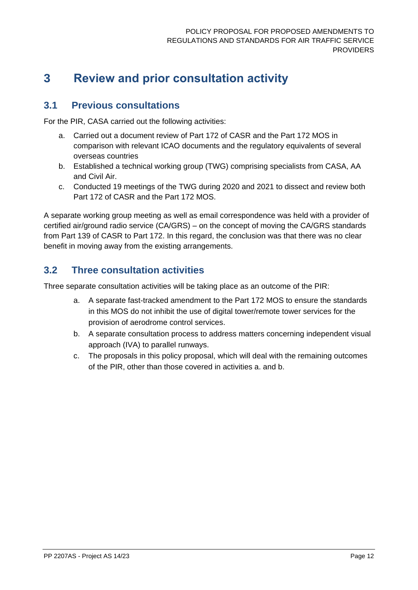## <span id="page-11-0"></span>**3 Review and prior consultation activity**

## <span id="page-11-1"></span>**3.1 Previous consultations**

For the PIR, CASA carried out the following activities:

- a. Carried out a document review of Part 172 of CASR and the Part 172 MOS in comparison with relevant ICAO documents and the regulatory equivalents of several overseas countries
- b. Established a technical working group (TWG) comprising specialists from CASA, AA and Civil Air.
- c. Conducted 19 meetings of the TWG during 2020 and 2021 to dissect and review both Part 172 of CASR and the Part 172 MOS.

A separate working group meeting as well as email correspondence was held with a provider of certified air/ground radio service (CA/GRS) – on the concept of moving the CA/GRS standards from Part 139 of CASR to Part 172. In this regard, the conclusion was that there was no clear benefit in moving away from the existing arrangements.

## <span id="page-11-2"></span>**3.2 Three consultation activities**

Three separate consultation activities will be taking place as an outcome of the PIR:

- a. A separate fast-tracked amendment to the Part 172 MOS to ensure the standards in this MOS do not inhibit the use of digital tower/remote tower services for the provision of aerodrome control services.
- b. A separate consultation process to address matters concerning independent visual approach (IVA) to parallel runways.
- c. The proposals in this policy proposal, which will deal with the remaining outcomes of the PIR, other than those covered in activities a. and b.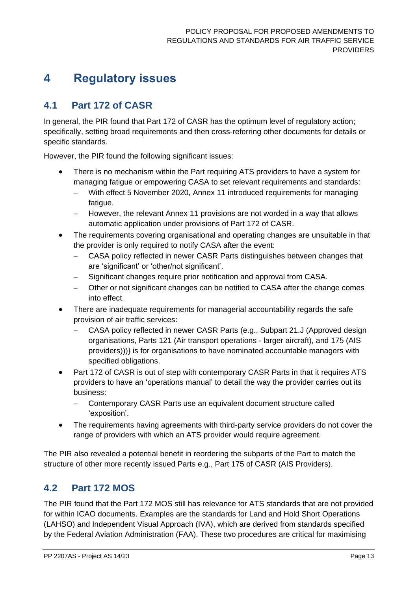## <span id="page-12-0"></span>**4 Regulatory issues**

## <span id="page-12-1"></span>**4.1 Part 172 of CASR**

In general, the PIR found that Part 172 of CASR has the optimum level of regulatory action; specifically, setting broad requirements and then cross-referring other documents for details or specific standards.

However, the PIR found the following significant issues:

- There is no mechanism within the Part requiring ATS providers to have a system for managing fatigue or empowering CASA to set relevant requirements and standards:
	- − With effect 5 November 2020, Annex 11 introduced requirements for managing fatigue.
	- − However, the relevant Annex 11 provisions are not worded in a way that allows automatic application under provisions of Part 172 of CASR.
- The requirements covering organisational and operating changes are unsuitable in that the provider is only required to notify CASA after the event:
	- − CASA policy reflected in newer CASR Parts distinguishes between changes that are 'significant' or 'other/not significant'.
	- − Significant changes require prior notification and approval from CASA.
	- − Other or not significant changes can be notified to CASA after the change comes into effect.
- There are inadequate requirements for managerial accountability regards the safe provision of air traffic services:
	- − CASA policy reflected in newer CASR Parts (e.g., Subpart 21.J (Approved design organisations, Parts 121 (Air transport operations - larger aircraft), and 175 (AIS providers)))} is for organisations to have nominated accountable managers with specified obligations.
- Part 172 of CASR is out of step with contemporary CASR Parts in that it requires ATS providers to have an 'operations manual' to detail the way the provider carries out its business:
	- − Contemporary CASR Parts use an equivalent document structure called 'exposition'.
- The requirements having agreements with third-party service providers do not cover the range of providers with which an ATS provider would require agreement.

The PIR also revealed a potential benefit in reordering the subparts of the Part to match the structure of other more recently issued Parts e.g., Part 175 of CASR (AIS Providers).

## <span id="page-12-2"></span>**4.2 Part 172 MOS**

The PIR found that the Part 172 MOS still has relevance for ATS standards that are not provided for within ICAO documents. Examples are the standards for Land and Hold Short Operations (LAHSO) and Independent Visual Approach (IVA), which are derived from standards specified by the Federal Aviation Administration (FAA). These two procedures are critical for maximising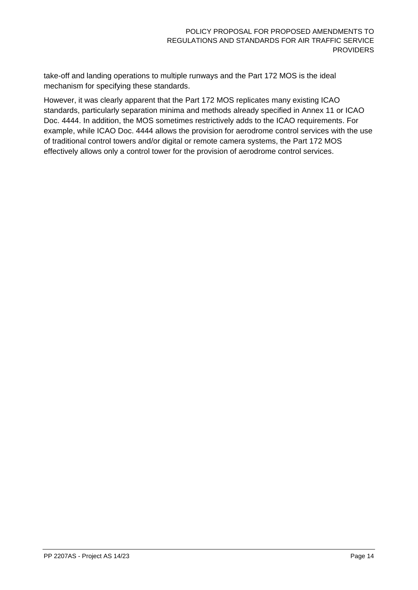take-off and landing operations to multiple runways and the Part 172 MOS is the ideal mechanism for specifying these standards.

However, it was clearly apparent that the Part 172 MOS replicates many existing ICAO standards, particularly separation minima and methods already specified in Annex 11 or ICAO Doc. 4444. In addition, the MOS sometimes restrictively adds to the ICAO requirements. For example, while ICAO Doc. 4444 allows the provision for aerodrome control services with the use of traditional control towers and/or digital or remote camera systems, the Part 172 MOS effectively allows only a control tower for the provision of aerodrome control services.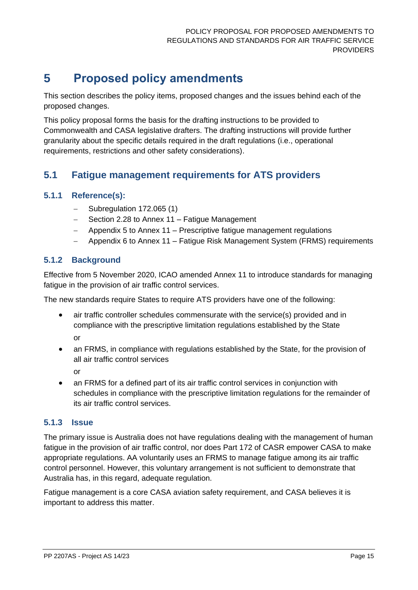## <span id="page-14-0"></span>**5 Proposed policy amendments**

This section describes the policy items, proposed changes and the issues behind each of the proposed changes.

This policy proposal forms the basis for the drafting instructions to be provided to Commonwealth and CASA legislative drafters. The drafting instructions will provide further granularity about the specific details required in the draft regulations (i.e., operational requirements, restrictions and other safety considerations).

## <span id="page-14-1"></span>**5.1 Fatigue management requirements for ATS providers**

### **5.1.1 Reference(s):**

- − Subregulation 172.065 (1)
- − Section 2.28 to Annex 11 Fatigue Management
- − Appendix 5 to Annex 11 Prescriptive fatigue management regulations
- − Appendix 6 to Annex 11 Fatigue Risk Management System (FRMS) requirements

### **5.1.2 Background**

Effective from 5 November 2020, ICAO amended Annex 11 to introduce standards for managing fatigue in the provision of air traffic control services.

The new standards require States to require ATS providers have one of the following:

• air traffic controller schedules commensurate with the service(s) provided and in compliance with the prescriptive limitation regulations established by the State

or

• an FRMS, in compliance with regulations established by the State, for the provision of all air traffic control services

or

• an FRMS for a defined part of its air traffic control services in conjunction with schedules in compliance with the prescriptive limitation regulations for the remainder of its air traffic control services.

### **5.1.3 Issue**

The primary issue is Australia does not have regulations dealing with the management of human fatigue in the provision of air traffic control, nor does Part 172 of CASR empower CASA to make appropriate regulations. AA voluntarily uses an FRMS to manage fatigue among its air traffic control personnel. However, this voluntary arrangement is not sufficient to demonstrate that Australia has, in this regard, adequate regulation.

Fatigue management is a core CASA aviation safety requirement, and CASA believes it is important to address this matter.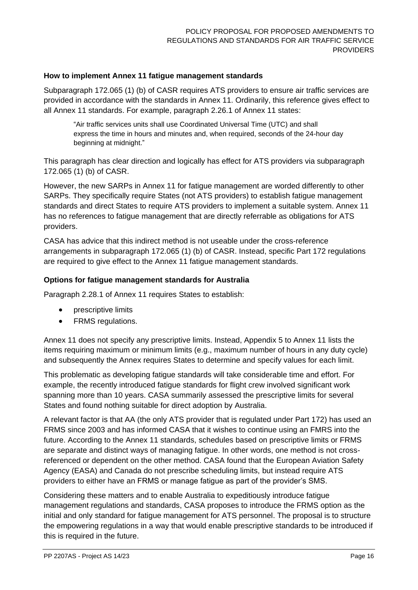#### **How to implement Annex 11 fatigue management standards**

Subparagraph 172.065 (1) (b) of CASR requires ATS providers to ensure air traffic services are provided in accordance with the standards in Annex 11. Ordinarily, this reference gives effect to all Annex 11 standards. For example, paragraph 2.26.1 of Annex 11 states:

"Air traffic services units shall use Coordinated Universal Time (UTC) and shall express the time in hours and minutes and, when required, seconds of the 24-hour day beginning at midnight."

This paragraph has clear direction and logically has effect for ATS providers via subparagraph 172.065 (1) (b) of CASR.

However, the new SARPs in Annex 11 for fatigue management are worded differently to other SARPs. They specifically require States (not ATS providers) to establish fatigue management standards and direct States to require ATS providers to implement a suitable system. Annex 11 has no references to fatigue management that are directly referrable as obligations for ATS providers.

CASA has advice that this indirect method is not useable under the cross-reference arrangements in subparagraph 172.065 (1) (b) of CASR. Instead, specific Part 172 regulations are required to give effect to the Annex 11 fatique management standards.

#### **Options for fatigue management standards for Australia**

Paragraph 2.28.1 of Annex 11 requires States to establish:

- prescriptive limits
- FRMS regulations.

Annex 11 does not specify any prescriptive limits. Instead, Appendix 5 to Annex 11 lists the items requiring maximum or minimum limits (e.g., maximum number of hours in any duty cycle) and subsequently the Annex requires States to determine and specify values for each limit.

This problematic as developing fatigue standards will take considerable time and effort. For example, the recently introduced fatigue standards for flight crew involved significant work spanning more than 10 years. CASA summarily assessed the prescriptive limits for several States and found nothing suitable for direct adoption by Australia.

A relevant factor is that AA (the only ATS provider that is regulated under Part 172) has used an FRMS since 2003 and has informed CASA that it wishes to continue using an FMRS into the future. According to the Annex 11 standards, schedules based on prescriptive limits or FRMS are separate and distinct ways of managing fatigue. In other words, one method is not crossreferenced or dependent on the other method. CASA found that the European Aviation Safety Agency (EASA) and Canada do not prescribe scheduling limits, but instead require ATS providers to either have an FRMS or manage fatigue as part of the provider's SMS.

Considering these matters and to enable Australia to expeditiously introduce fatigue management regulations and standards, CASA proposes to introduce the FRMS option as the initial and only standard for fatigue management for ATS personnel. The proposal is to structure the empowering regulations in a way that would enable prescriptive standards to be introduced if this is required in the future.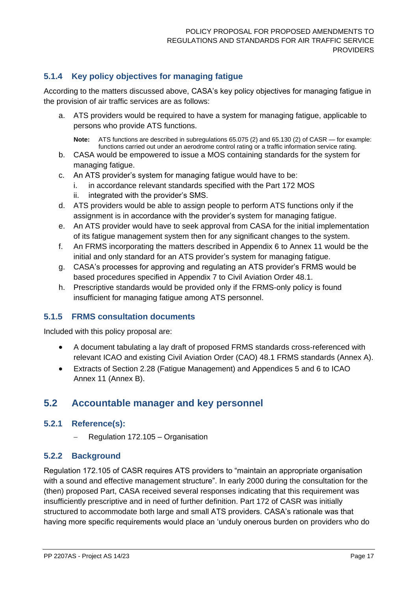## **5.1.4 Key policy objectives for managing fatigue**

According to the matters discussed above, CASA's key policy objectives for managing fatigue in the provision of air traffic services are as follows:

a. ATS providers would be required to have a system for managing fatigue, applicable to persons who provide ATS functions.

**Note:** ATS functions are described in subregulations 65.075 (2) and 65.130 (2) of CASR — for example: functions carried out under an aerodrome control rating or a traffic information service rating.

- b. CASA would be empowered to issue a MOS containing standards for the system for managing fatigue.
- c. An ATS provider's system for managing fatigue would have to be:
	- i. in accordance relevant standards specified with the Part 172 MOS
	- ii. integrated with the provider's SMS.
- d. ATS providers would be able to assign people to perform ATS functions only if the assignment is in accordance with the provider's system for managing fatigue.
- e. An ATS provider would have to seek approval from CASA for the initial implementation of its fatigue management system then for any significant changes to the system.
- f. An FRMS incorporating the matters described in Appendix 6 to Annex 11 would be the initial and only standard for an ATS provider's system for managing fatigue.
- g. CASA's processes for approving and regulating an ATS provider's FRMS would be based procedures specified in Appendix 7 to Civil Aviation Order 48.1.
- h. Prescriptive standards would be provided only if the FRMS-only policy is found insufficient for managing fatigue among ATS personnel.

### **5.1.5 FRMS consultation documents**

Included with this policy proposal are:

- A document tabulating a lay draft of proposed FRMS standards cross-referenced with relevant ICAO and existing Civil Aviation Order (CAO) 48.1 FRMS standards (Annex A).
- Extracts of Section 2.28 (Fatigue Management) and Appendices 5 and 6 to ICAO Annex 11 (Annex B).

## <span id="page-16-0"></span>**5.2 Accountable manager and key personnel**

#### **5.2.1 Reference(s):**

− Regulation 172.105 – Organisation

#### **5.2.2 Background**

Regulation 172.105 of CASR requires ATS providers to "maintain an appropriate organisation with a sound and effective management structure". In early 2000 during the consultation for the (then) proposed Part, CASA received several responses indicating that this requirement was insufficiently prescriptive and in need of further definition. Part 172 of CASR was initially structured to accommodate both large and small ATS providers. CASA's rationale was that having more specific requirements would place an 'unduly onerous burden on providers who do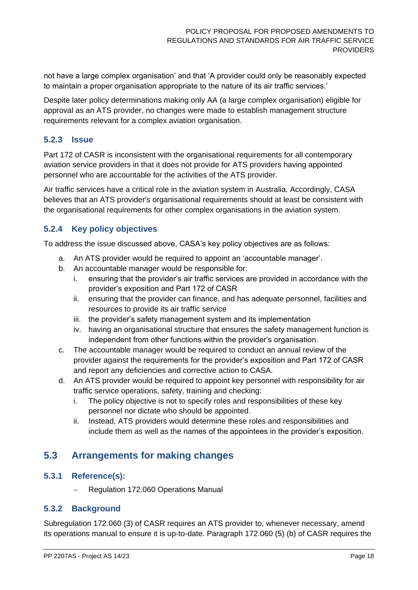not have a large complex organisation' and that 'A provider could only be reasonably expected to maintain a proper organisation appropriate to the nature of its air traffic services.'

Despite later policy determinations making only AA (a large complex organisation) eligible for approval as an ATS provider, no changes were made to establish management structure requirements relevant for a complex aviation organisation.

#### **5.2.3 Issue**

Part 172 of CASR is inconsistent with the organisational requirements for all contemporary aviation service providers in that it does not provide for ATS providers having appointed personnel who are accountable for the activities of the ATS provider.

Air traffic services have a critical role in the aviation system in Australia. Accordingly, CASA believes that an ATS provider's organisational requirements should at least be consistent with the organisational requirements for other complex organisations in the aviation system.

#### **5.2.4 Key policy objectives**

To address the issue discussed above, CASA's key policy objectives are as follows:

- a. An ATS provider would be required to appoint an 'accountable manager'.
- b. An accountable manager would be responsible for:
	- i. ensuring that the provider's air traffic services are provided in accordance with the provider's exposition and Part 172 of CASR
	- ii. ensuring that the provider can finance, and has adequate personnel, facilities and resources to provide its air traffic service
	- iii. the provider's safety management system and its implementation
	- iv. having an organisational structure that ensures the safety management function is independent from other functions within the provider's organisation.
- c. The accountable manager would be required to conduct an annual review of the provider against the requirements for the provider's exposition and Part 172 of CASR and report any deficiencies and corrective action to CASA.
- d. An ATS provider would be required to appoint key personnel with responsibility for air traffic service operations, safety, training and checking:
	- i. The policy objective is not to specify roles and responsibilities of these key personnel nor dictate who should be appointed.
	- ii. Instead, ATS providers would determine these roles and responsibilities and include them as well as the names of the appointees in the provider's exposition.

## <span id="page-17-0"></span>**5.3 Arrangements for making changes**

#### **5.3.1 Reference(s):**

− Regulation 172.060 Operations Manual

#### **5.3.2 Background**

Subregulation 172.060 (3) of CASR requires an ATS provider to, whenever necessary, amend its operations manual to ensure it is up-to-date. Paragraph 172.060 (5) (b) of CASR requires the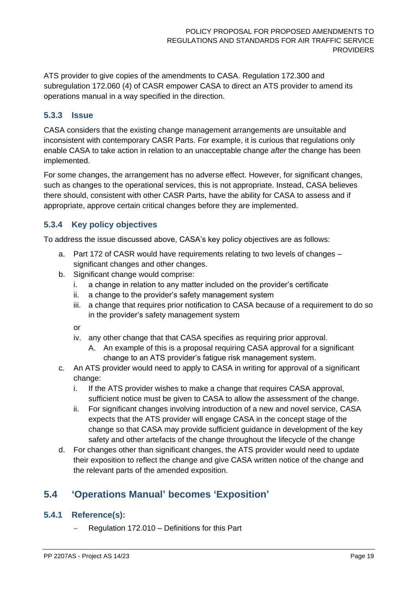ATS provider to give copies of the amendments to CASA. Regulation 172.300 and subregulation 172.060 (4) of CASR empower CASA to direct an ATS provider to amend its operations manual in a way specified in the direction.

#### **5.3.3 Issue**

CASA considers that the existing change management arrangements are unsuitable and inconsistent with contemporary CASR Parts. For example, it is curious that regulations only enable CASA to take action in relation to an unacceptable change *after* the change has been implemented.

For some changes, the arrangement has no adverse effect. However, for significant changes, such as changes to the operational services, this is not appropriate. Instead, CASA believes there should, consistent with other CASR Parts, have the ability for CASA to assess and if appropriate, approve certain critical changes before they are implemented.

#### **5.3.4 Key policy objectives**

To address the issue discussed above, CASA's key policy objectives are as follows:

- a. Part 172 of CASR would have requirements relating to two levels of changes significant changes and other changes.
- b. Significant change would comprise:
	- i. a change in relation to any matter included on the provider's certificate
	- ii. a change to the provider's safety management system
	- iii. a change that requires prior notification to CASA because of a requirement to do so in the provider's safety management system

or

- iv. any other change that that CASA specifies as requiring prior approval.
	- A. An example of this is a proposal requiring CASA approval for a significant change to an ATS provider's fatigue risk management system.
- c. An ATS provider would need to apply to CASA in writing for approval of a significant change:
	- i. If the ATS provider wishes to make a change that requires CASA approval, sufficient notice must be given to CASA to allow the assessment of the change.
	- ii. For significant changes involving introduction of a new and novel service, CASA expects that the ATS provider will engage CASA in the concept stage of the change so that CASA may provide sufficient guidance in development of the key safety and other artefacts of the change throughout the lifecycle of the change
- d. For changes other than significant changes, the ATS provider would need to update their exposition to reflect the change and give CASA written notice of the change and the relevant parts of the amended exposition.

## <span id="page-18-0"></span>**5.4 'Operations Manual' becomes 'Exposition'**

#### **5.4.1 Reference(s):**

− Regulation 172.010 – Definitions for this Part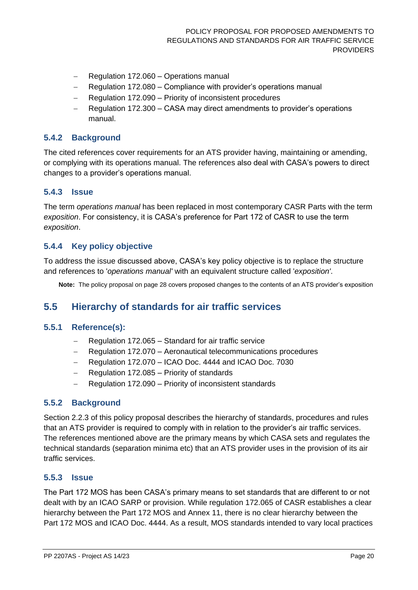- − Regulation 172.060 Operations manual
- − Regulation 172.080 Compliance with provider's operations manual
- − Regulation 172.090 Priority of inconsistent procedures
- − Regulation 172.300 CASA may direct amendments to provider's operations manual.

#### **5.4.2 Background**

The cited references cover requirements for an ATS provider having, maintaining or amending, or complying with its operations manual. The references also deal with CASA's powers to direct changes to a provider's operations manual.

#### **5.4.3 Issue**

The term *operations manual* has been replaced in most contemporary CASR Parts with the term *exposition*. For consistency, it is CASA's preference for Part 172 of CASR to use the term *exposition*.

#### **5.4.4 Key policy objective**

To address the issue discussed above, CASA's key policy objective is to replace the structure and references to '*operations manual'* with an equivalent structure called '*exposition'*.

**Note:** The policy proposal on page [28](#page-27-0) covers proposed changes to the contents of an ATS provider's exposition

## <span id="page-19-0"></span>**5.5 Hierarchy of standards for air traffic services**

#### **5.5.1 Reference(s):**

- − Regulation 172.065 Standard for air traffic service
- − Regulation 172.070 Aeronautical telecommunications procedures
- − Regulation 172.070 ICAO Doc. 4444 and ICAO Doc. 7030
- − Regulation 172.085 Priority of standards
- − Regulation 172.090 Priority of inconsistent standards

#### **5.5.2 Background**

Section [2.2.3](#page-8-1) of this policy proposal describes the hierarchy of standards, procedures and rules that an ATS provider is required to comply with in relation to the provider's air traffic services. The references mentioned above are the primary means by which CASA sets and regulates the technical standards (separation minima etc) that an ATS provider uses in the provision of its air traffic services.

#### **5.5.3 Issue**

The Part 172 MOS has been CASA's primary means to set standards that are different to or not dealt with by an ICAO SARP or provision. While regulation 172.065 of CASR establishes a clear hierarchy between the Part 172 MOS and Annex 11, there is no clear hierarchy between the Part 172 MOS and ICAO Doc. 4444. As a result, MOS standards intended to vary local practices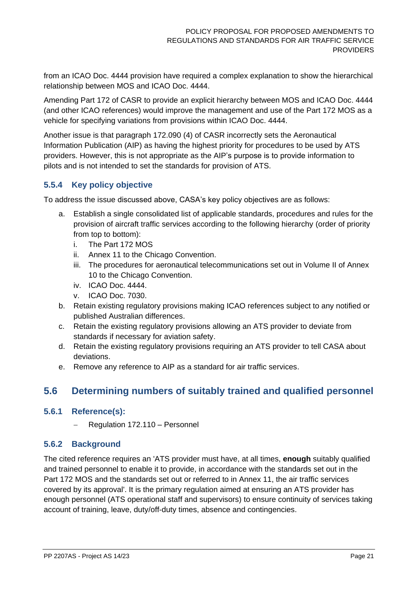from an ICAO Doc. 4444 provision have required a complex explanation to show the hierarchical relationship between MOS and ICAO Doc. 4444.

Amending Part 172 of CASR to provide an explicit hierarchy between MOS and ICAO Doc. 4444 (and other ICAO references) would improve the management and use of the Part 172 MOS as a vehicle for specifying variations from provisions within ICAO Doc. 4444.

Another issue is that paragraph 172.090 (4) of CASR incorrectly sets the Aeronautical Information Publication (AIP) as having the highest priority for procedures to be used by ATS providers. However, this is not appropriate as the AIP's purpose is to provide information to pilots and is not intended to set the standards for provision of ATS.

#### **5.5.4 Key policy objective**

To address the issue discussed above, CASA's key policy objectives are as follows:

- a. Establish a single consolidated list of applicable standards, procedures and rules for the provision of aircraft traffic services according to the following hierarchy (order of priority from top to bottom):
	- i. The Part 172 MOS
	- ii. Annex 11 to the Chicago Convention.
	- iii. The procedures for aeronautical telecommunications set out in Volume II of Annex 10 to the Chicago Convention.
	- iv. ICAO Doc. 4444.
	- v. ICAO Doc. 7030.
- b. Retain existing regulatory provisions making ICAO references subject to any notified or published Australian differences.
- c. Retain the existing regulatory provisions allowing an ATS provider to deviate from standards if necessary for aviation safety.
- d. Retain the existing regulatory provisions requiring an ATS provider to tell CASA about deviations.
- e. Remove any reference to AIP as a standard for air traffic services.

## <span id="page-20-0"></span>**5.6 Determining numbers of suitably trained and qualified personnel**

#### **5.6.1 Reference(s):**

− Regulation 172.110 – Personnel

#### **5.6.2 Background**

The cited reference requires an 'ATS provider must have, at all times, **enough** suitably qualified and trained personnel to enable it to provide, in accordance with the standards set out in the Part 172 MOS and the standards set out or referred to in Annex 11, the air traffic services covered by its approval'. It is the primary regulation aimed at ensuring an ATS provider has enough personnel (ATS operational staff and supervisors) to ensure continuity of services taking account of training, leave, duty/off-duty times, absence and contingencies.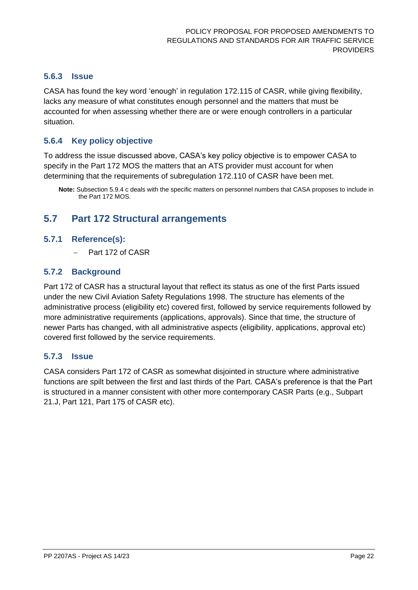#### **5.6.3 Issue**

CASA has found the key word 'enough' in regulation 172.115 of CASR, while giving flexibility, lacks any measure of what constitutes enough personnel and the matters that must be accounted for when assessing whether there are or were enough controllers in a particular situation.

#### **5.6.4 Key policy objective**

To address the issue discussed above, CASA's key policy objective is to empower CASA to specify in the Part 172 MOS the matters that an ATS provider must account for when determining that the requirements of subregulation 172.110 of CASR have been met.

## <span id="page-21-0"></span>**5.7 Part 172 Structural arrangements**

#### **5.7.1 Reference(s):**

− Part 172 of CASR

#### **5.7.2 Background**

Part 172 of CASR has a structural layout that reflect its status as one of the first Parts issued under the new Civil Aviation Safety Regulations 1998. The structure has elements of the administrative process (eligibility etc) covered first, followed by service requirements followed by more administrative requirements (applications, approvals). Since that time, the structure of newer Parts has changed, with all administrative aspects (eligibility, applications, approval etc) covered first followed by the service requirements.

#### **5.7.3 Issue**

CASA considers Part 172 of CASR as somewhat disjointed in structure where administrative functions are spilt between the first and last thirds of the Part. CASA's preference is that the Part is structured in a manner consistent with other more contemporary CASR Parts (e.g., Subpart 21.J, Part 121, Part 175 of CASR etc).

**Note:** Subsection [5.9.4](#page-25-0) [c](#page-28-0) deals with the specific matters on personnel numbers that CASA proposes to include in the Part 172 MOS.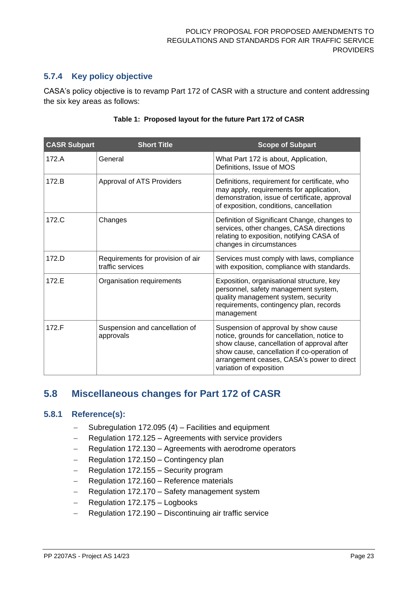### **5.7.4 Key policy objective**

CASA's policy objective is to revamp Part 172 of CASR with a structure and content addressing the six key areas as follows:

| <b>CASR Subpart</b> | <b>Short Title</b>                                    | <b>Scope of Subpart</b>                                                                                                                                                                                                                                    |
|---------------------|-------------------------------------------------------|------------------------------------------------------------------------------------------------------------------------------------------------------------------------------------------------------------------------------------------------------------|
| 172.A               | General                                               | What Part 172 is about, Application,<br>Definitions, Issue of MOS                                                                                                                                                                                          |
| 172.B               | Approval of ATS Providers                             | Definitions, requirement for certificate, who<br>may apply, requirements for application,<br>demonstration, issue of certificate, approval<br>of exposition, conditions, cancellation                                                                      |
| 172.C               | Changes                                               | Definition of Significant Change, changes to<br>services, other changes, CASA directions<br>relating to exposition, notifying CASA of<br>changes in circumstances                                                                                          |
| 172.D               | Requirements for provision of air<br>traffic services | Services must comply with laws, compliance<br>with exposition, compliance with standards.                                                                                                                                                                  |
| 172.E               | Organisation requirements                             | Exposition, organisational structure, key<br>personnel, safety management system,<br>quality management system, security<br>requirements, contingency plan, records<br>management                                                                          |
| 172.F               | Suspension and cancellation of<br>approvals           | Suspension of approval by show cause<br>notice, grounds for cancellation, notice to<br>show clause, cancellation of approval after<br>show cause, cancellation if co-operation of<br>arrangement ceases, CASA's power to direct<br>variation of exposition |

#### **Table 1: Proposed layout for the future Part 172 of CASR**

## <span id="page-22-0"></span>**5.8 Miscellaneous changes for Part 172 of CASR**

#### **5.8.1 Reference(s):**

- − Subregulation 172.095 (4) Facilities and equipment
- − Regulation 172.125 Agreements with service providers
- − Regulation 172.130 Agreements with aerodrome operators
- − Regulation 172.150 Contingency plan
- − Regulation 172.155 Security program
- − Regulation 172.160 Reference materials
- − Regulation 172.170 Safety management system
- − Regulation 172.175 Logbooks
- − Regulation 172.190 Discontinuing air traffic service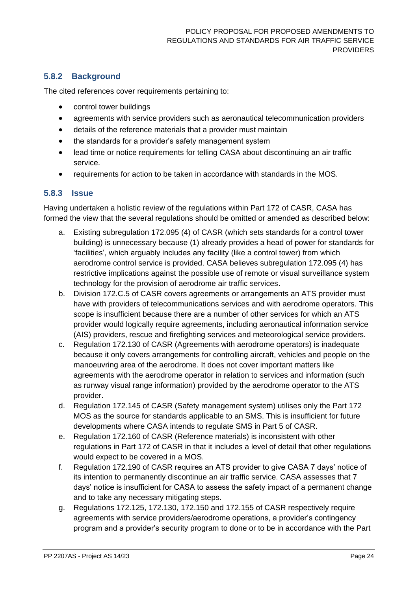## **5.8.2 Background**

The cited references cover requirements pertaining to:

- control tower buildings
- agreements with service providers such as aeronautical telecommunication providers
- details of the reference materials that a provider must maintain
- the standards for a provider's safety management system
- lead time or notice requirements for telling CASA about discontinuing an air traffic service.
- requirements for action to be taken in accordance with standards in the MOS.

#### **5.8.3 Issue**

Having undertaken a holistic review of the regulations within Part 172 of CASR, CASA has formed the view that the several regulations should be omitted or amended as described below:

- a. Existing subregulation 172.095 (4) of CASR (which sets standards for a control tower building) is unnecessary because (1) already provides a head of power for standards for 'facilities', which arguably includes any facility (like a control tower) from which aerodrome control service is provided. CASA believes subregulation 172.095 (4) has restrictive implications against the possible use of remote or visual surveillance system technology for the provision of aerodrome air traffic services.
- b. Division 172.C.5 of CASR covers agreements or arrangements an ATS provider must have with providers of telecommunications services and with aerodrome operators. This scope is insufficient because there are a number of other services for which an ATS provider would logically require agreements, including aeronautical information service (AIS) providers, rescue and firefighting services and meteorological service providers.
- c. Regulation 172.130 of CASR (Agreements with aerodrome operators) is inadequate because it only covers arrangements for controlling aircraft, vehicles and people on the manoeuvring area of the aerodrome. It does not cover important matters like agreements with the aerodrome operator in relation to services and information (such as runway visual range information) provided by the aerodrome operator to the ATS provider.
- d. Regulation 172.145 of CASR (Safety management system) utilises only the Part 172 MOS as the source for standards applicable to an SMS. This is insufficient for future developments where CASA intends to regulate SMS in Part 5 of CASR.
- e. Regulation 172.160 of CASR (Reference materials) is inconsistent with other regulations in Part 172 of CASR in that it includes a level of detail that other regulations would expect to be covered in a MOS.
- f. Regulation 172.190 of CASR requires an ATS provider to give CASA 7 days' notice of its intention to permanently discontinue an air traffic service. CASA assesses that 7 days' notice is insufficient for CASA to assess the safety impact of a permanent change and to take any necessary mitigating steps.
- g. Regulations 172.125, 172.130, 172.150 and 172.155 of CASR respectively require agreements with service providers/aerodrome operations, a provider's contingency program and a provider's security program to done or to be in accordance with the Part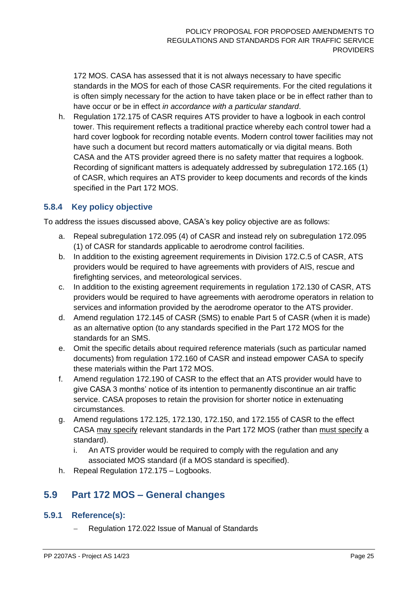172 MOS. CASA has assessed that it is not always necessary to have specific standards in the MOS for each of those CASR requirements. For the cited regulations it is often simply necessary for the action to have taken place or be in effect rather than to have occur or be in effect *in accordance with a particular standard*.

h. Regulation 172.175 of CASR requires ATS provider to have a logbook in each control tower. This requirement reflects a traditional practice whereby each control tower had a hard cover logbook for recording notable events. Modern control tower facilities may not have such a document but record matters automatically or via digital means. Both CASA and the ATS provider agreed there is no safety matter that requires a logbook. Recording of significant matters is adequately addressed by subregulation 172.165 (1) of CASR, which requires an ATS provider to keep documents and records of the kinds specified in the Part 172 MOS.

#### **5.8.4 Key policy objective**

To address the issues discussed above, CASA's key policy objective are as follows:

- a. Repeal subregulation 172.095 (4) of CASR and instead rely on subregulation 172.095 (1) of CASR for standards applicable to aerodrome control facilities.
- b. In addition to the existing agreement requirements in Division 172.C.5 of CASR, ATS providers would be required to have agreements with providers of AIS, rescue and firefighting services, and meteorological services.
- c. In addition to the existing agreement requirements in regulation 172.130 of CASR, ATS providers would be required to have agreements with aerodrome operators in relation to services and information provided by the aerodrome operator to the ATS provider.
- d. Amend regulation 172.145 of CASR (SMS) to enable Part 5 of CASR (when it is made) as an alternative option (to any standards specified in the Part 172 MOS for the standards for an SMS.
- e. Omit the specific details about required reference materials (such as particular named documents) from regulation 172.160 of CASR and instead empower CASA to specify these materials within the Part 172 MOS.
- f. Amend regulation 172.190 of CASR to the effect that an ATS provider would have to give CASA 3 months' notice of its intention to permanently discontinue an air traffic service. CASA proposes to retain the provision for shorter notice in extenuating circumstances.
- g. Amend regulations 172.125, 172.130, 172.150, and 172.155 of CASR to the effect CASA may specify relevant standards in the Part 172 MOS (rather than must specify a standard).
	- i. An ATS provider would be required to comply with the regulation and any associated MOS standard (if a MOS standard is specified).
- h. Repeal Regulation 172.175 Logbooks.

## <span id="page-24-0"></span>**5.9 Part 172 MOS – General changes**

#### **5.9.1 Reference(s):**

− Regulation 172.022 Issue of Manual of Standards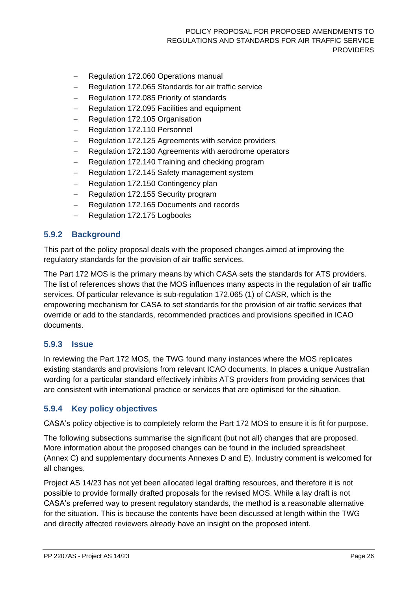- − Regulation 172.060 Operations manual
- Regulation 172.065 Standards for air traffic service
- − Regulation 172.085 Priority of standards
- − Regulation 172.095 Facilities and equipment
- − Regulation 172.105 Organisation
- − Regulation 172.110 Personnel
- − Regulation 172.125 Agreements with service providers
- − Regulation 172.130 Agreements with aerodrome operators
- − Regulation 172.140 Training and checking program
- − Regulation 172.145 Safety management system
- − Regulation 172.150 Contingency plan
- − Regulation 172.155 Security program
- − Regulation 172.165 Documents and records
- − Regulation 172.175 Logbooks

#### **5.9.2 Background**

This part of the policy proposal deals with the proposed changes aimed at improving the regulatory standards for the provision of air traffic services.

The Part 172 MOS is the primary means by which CASA sets the standards for ATS providers. The list of references shows that the MOS influences many aspects in the regulation of air traffic services. Of particular relevance is sub-regulation 172.065 (1) of CASR, which is the empowering mechanism for CASA to set standards for the provision of air traffic services that override or add to the standards, recommended practices and provisions specified in ICAO documents.

#### **5.9.3 Issue**

In reviewing the Part 172 MOS, the TWG found many instances where the MOS replicates existing standards and provisions from relevant ICAO documents. In places a unique Australian wording for a particular standard effectively inhibits ATS providers from providing services that are consistent with international practice or services that are optimised for the situation.

#### <span id="page-25-0"></span>**5.9.4 Key policy objectives**

CASA's policy objective is to completely reform the Part 172 MOS to ensure it is fit for purpose.

The following subsections summarise the significant (but not all) changes that are proposed. More information about the proposed changes can be found in the included spreadsheet (Annex C) and supplementary documents Annexes D and E). Industry comment is welcomed for all changes.

Project AS 14/23 has not yet been allocated legal drafting resources, and therefore it is not possible to provide formally drafted proposals for the revised MOS. While a lay draft is not CASA's preferred way to present regulatory standards, the method is a reasonable alternative for the situation. This is because the contents have been discussed at length within the TWG and directly affected reviewers already have an insight on the proposed intent.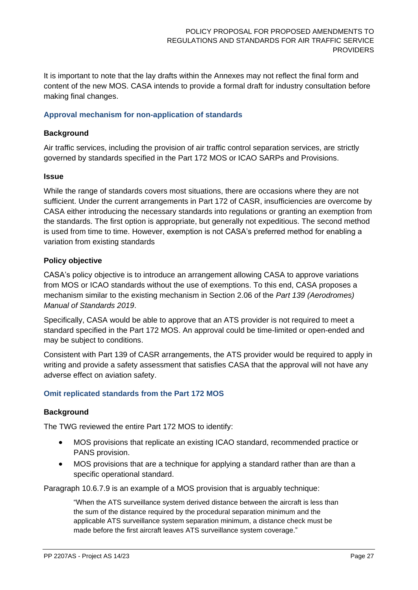It is important to note that the lay drafts within the Annexes may not reflect the final form and content of the new MOS. CASA intends to provide a formal draft for industry consultation before making final changes.

#### **Approval mechanism for non-application of standards**

#### **Background**

Air traffic services, including the provision of air traffic control separation services, are strictly governed by standards specified in the Part 172 MOS or ICAO SARPs and Provisions.

#### **Issue**

While the range of standards covers most situations, there are occasions where they are not sufficient. Under the current arrangements in Part 172 of CASR, insufficiencies are overcome by CASA either introducing the necessary standards into regulations or granting an exemption from the standards. The first option is appropriate, but generally not expeditious. The second method is used from time to time. However, exemption is not CASA's preferred method for enabling a variation from existing standards

#### **Policy objective**

CASA's policy objective is to introduce an arrangement allowing CASA to approve variations from MOS or ICAO standards without the use of exemptions. To this end, CASA proposes a mechanism similar to the existing mechanism in Section 2.06 of the *Part 139 (Aerodromes) Manual of Standards 2019*.

Specifically, CASA would be able to approve that an ATS provider is not required to meet a standard specified in the Part 172 MOS. An approval could be time-limited or open-ended and may be subject to conditions.

Consistent with Part 139 of CASR arrangements, the ATS provider would be required to apply in writing and provide a safety assessment that satisfies CASA that the approval will not have any adverse effect on aviation safety.

#### **Omit replicated standards from the Part 172 MOS**

#### **Background**

The TWG reviewed the entire Part 172 MOS to identify:

- MOS provisions that replicate an existing ICAO standard, recommended practice or PANS provision.
- MOS provisions that are a technique for applying a standard rather than are than a specific operational standard.

Paragraph 10.6.7.9 is an example of a MOS provision that is arguably technique:

"When the ATS surveillance system derived distance between the aircraft is less than the sum of the distance required by the procedural separation minimum and the applicable ATS surveillance system separation minimum, a distance check must be made before the first aircraft leaves ATS surveillance system coverage."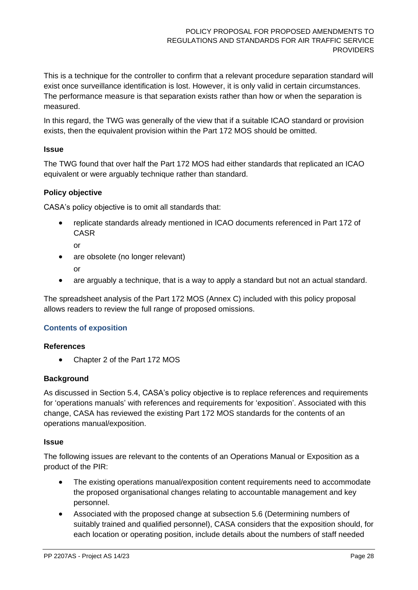This is a technique for the controller to confirm that a relevant procedure separation standard will exist once surveillance identification is lost. However, it is only valid in certain circumstances. The performance measure is that separation exists rather than how or when the separation is measured.

In this regard, the TWG was generally of the view that if a suitable ICAO standard or provision exists, then the equivalent provision within the Part 172 MOS should be omitted.

#### **Issue**

The TWG found that over half the Part 172 MOS had either standards that replicated an ICAO equivalent or were arguably technique rather than standard.

#### **Policy objective**

CASA's policy objective is to omit all standards that:

- replicate standards already mentioned in ICAO documents referenced in Part 172 of CASR
	- or
- are obsolete (no longer relevant)
	- or
- are arguably a technique, that is a way to apply a standard but not an actual standard.

The spreadsheet analysis of the Part 172 MOS (Annex C) included with this policy proposal allows readers to review the full range of proposed omissions.

#### <span id="page-27-0"></span>**Contents of exposition**

#### **References**

• Chapter 2 of the Part 172 MOS

#### **Background**

As discussed in Section [5.4,](#page-18-0) CASA's policy objective is to replace references and requirements for 'operations manuals' with references and requirements for 'exposition'. Associated with this change, CASA has reviewed the existing Part 172 MOS standards for the contents of an operations manual/exposition.

#### **Issue**

The following issues are relevant to the contents of an Operations Manual or Exposition as a product of the PIR:

- The existing operations manual/exposition content requirements need to accommodate the proposed organisational changes relating to accountable management and key personnel.
- Associated with the proposed change at subsection [5.6](#page-20-0) [\(Determining numbers of](#page-20-0)  [suitably trained and qualified personnel\)](#page-20-0), CASA considers that the exposition should, for each location or operating position, include details about the numbers of staff needed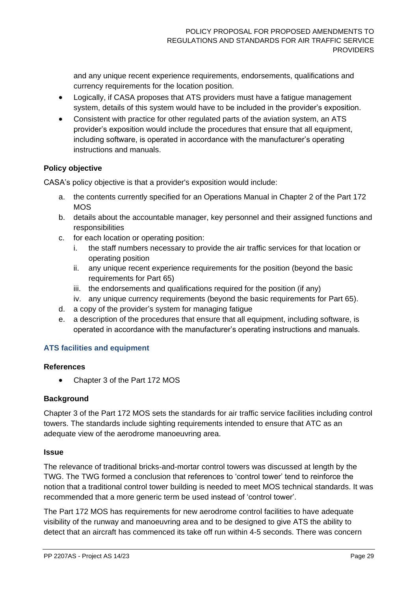and any unique recent experience requirements, endorsements, qualifications and currency requirements for the location position.

- Logically, if CASA proposes that ATS providers must have a fatigue management system, details of this system would have to be included in the provider's exposition.
- Consistent with practice for other regulated parts of the aviation system, an ATS provider's exposition would include the procedures that ensure that all equipment, including software, is operated in accordance with the manufacturer's operating instructions and manuals.

#### **Policy objective**

CASA's policy objective is that a provider's exposition would include:

- a. the contents currently specified for an Operations Manual in Chapter 2 of the Part 172 M<sub>O</sub>S
- b. details about the accountable manager, key personnel and their assigned functions and responsibilities
- <span id="page-28-0"></span>c. for each location or operating position:
	- i. the staff numbers necessary to provide the air traffic services for that location or operating position
	- ii. any unique recent experience requirements for the position (beyond the basic requirements for Part 65)
	- iii. the endorsements and qualifications required for the position (if any)
	- iv. any unique currency requirements (beyond the basic requirements for Part 65).
- d. a copy of the provider's system for managing fatigue
- e. a description of the procedures that ensure that all equipment, including software, is operated in accordance with the manufacturer's operating instructions and manuals.

#### **ATS facilities and equipment**

#### **References**

• Chapter 3 of the Part 172 MOS

#### **Background**

Chapter 3 of the Part 172 MOS sets the standards for air traffic service facilities including control towers. The standards include sighting requirements intended to ensure that ATC as an adequate view of the aerodrome manoeuvring area.

#### **Issue**

The relevance of traditional bricks-and-mortar control towers was discussed at length by the TWG. The TWG formed a conclusion that references to 'control tower' tend to reinforce the notion that a traditional control tower building is needed to meet MOS technical standards. It was recommended that a more generic term be used instead of 'control tower'.

The Part 172 MOS has requirements for new aerodrome control facilities to have adequate visibility of the runway and manoeuvring area and to be designed to give ATS the ability to detect that an aircraft has commenced its take off run within 4-5 seconds. There was concern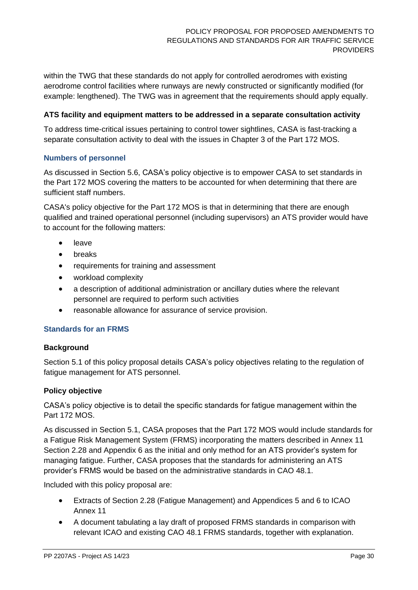within the TWG that these standards do not apply for controlled aerodromes with existing aerodrome control facilities where runways are newly constructed or significantly modified (for example: lengthened). The TWG was in agreement that the requirements should apply equally.

#### **ATS facility and equipment matters to be addressed in a separate consultation activity**

To address time-critical issues pertaining to control tower sightlines, CASA is fast-tracking a separate consultation activity to deal with the issues in Chapter 3 of the Part 172 MOS.

#### **Numbers of personnel**

As discussed in Section [5.6,](#page-20-0) CASA's policy objective is to empower CASA to set standards in the Part 172 MOS covering the matters to be accounted for when determining that there are sufficient staff numbers.

CASA's policy objective for the Part 172 MOS is that in determining that there are enough qualified and trained operational personnel (including supervisors) an ATS provider would have to account for the following matters:

- leave
- breaks
- requirements for training and assessment
- workload complexity
- a description of additional administration or ancillary duties where the relevant personnel are required to perform such activities
- reasonable allowance for assurance of service provision.

#### **Standards for an FRMS**

#### **Background**

Section [5.1](#page-14-1) of this policy proposal details CASA's policy objectives relating to the regulation of fatigue management for ATS personnel.

#### **Policy objective**

CASA's policy objective is to detail the specific standards for fatigue management within the Part 172 MOS.

As discussed in Section [5.1,](#page-14-1) CASA proposes that the Part 172 MOS would include standards for a Fatigue Risk Management System (FRMS) incorporating the matters described in Annex 11 Section 2.28 and Appendix 6 as the initial and only method for an ATS provider's system for managing fatigue. Further, CASA proposes that the standards for administering an ATS provider's FRMS would be based on the administrative standards in CAO 48.1.

Included with this policy proposal are:

- Extracts of Section 2.28 (Fatigue Management) and Appendices 5 and 6 to ICAO Annex 11
- A document tabulating a lay draft of proposed FRMS standards in comparison with relevant ICAO and existing CAO 48.1 FRMS standards, together with explanation.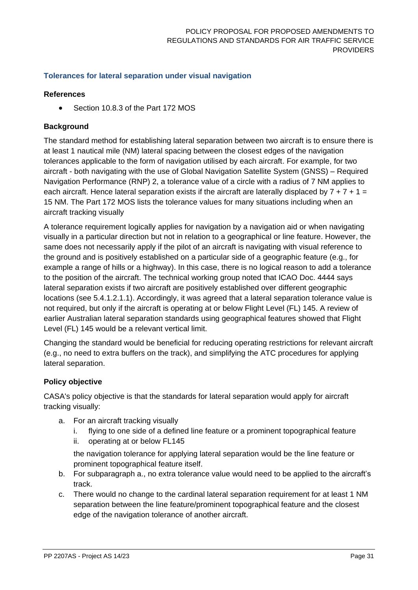#### **Tolerances for lateral separation under visual navigation**

#### **References**

• Section 10.8.3 of the Part 172 MOS

#### **Background**

The standard method for establishing lateral separation between two aircraft is to ensure there is at least 1 nautical mile (NM) lateral spacing between the closest edges of the navigation tolerances applicable to the form of navigation utilised by each aircraft. For example, for two aircraft - both navigating with the use of Global Navigation Satellite System (GNSS) – Required Navigation Performance (RNP) 2, a tolerance value of a circle with a radius of 7 NM applies to each aircraft. Hence lateral separation exists if the aircraft are laterally displaced by  $7 + 7 + 1 =$ 15 NM. The Part 172 MOS lists the tolerance values for many situations including when an aircraft tracking visually

A tolerance requirement logically applies for navigation by a navigation aid or when navigating visually in a particular direction but not in relation to a geographical or line feature. However, the same does not necessarily apply if the pilot of an aircraft is navigating with visual reference to the ground and is positively established on a particular side of a geographic feature (e.g., for example a range of hills or a highway). In this case, there is no logical reason to add a tolerance to the position of the aircraft. The technical working group noted that ICAO Doc. 4444 says lateral separation exists if two aircraft are positively established over different geographic locations (see 5.4.1.2.1.1). Accordingly, it was agreed that a lateral separation tolerance value is not required, but only if the aircraft is operating at or below Flight Level (FL) 145. A review of earlier Australian lateral separation standards using geographical features showed that Flight Level (FL) 145 would be a relevant vertical limit.

Changing the standard would be beneficial for reducing operating restrictions for relevant aircraft (e.g., no need to extra buffers on the track), and simplifying the ATC procedures for applying lateral separation.

#### **Policy objective**

CASA's policy objective is that the standards for lateral separation would apply for aircraft tracking visually:

- a. For an aircraft tracking visually
	- i. flying to one side of a defined line feature or a prominent topographical feature
	- ii. operating at or below FL145

the navigation tolerance for applying lateral separation would be the line feature or prominent topographical feature itself.

- b. For subparagraph a., no extra tolerance value would need to be applied to the aircraft's track.
- c. There would no change to the cardinal lateral separation requirement for at least 1 NM separation between the line feature/prominent topographical feature and the closest edge of the navigation tolerance of another aircraft.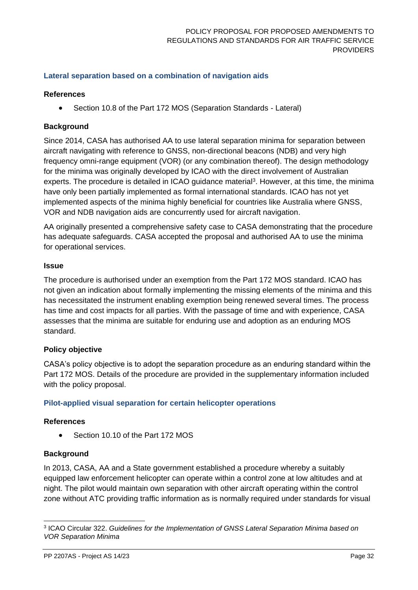#### **Lateral separation based on a combination of navigation aids**

#### **References**

• Section 10.8 of the Part 172 MOS (Separation Standards - Lateral)

#### **Background**

Since 2014, CASA has authorised AA to use lateral separation minima for separation between aircraft navigating with reference to GNSS, non-directional beacons (NDB) and very high frequency omni-range equipment (VOR) (or any combination thereof). The design methodology for the minima was originally developed by ICAO with the direct involvement of Australian experts. The procedure is detailed in ICAO guidance material<sup>3</sup>. However, at this time, the minima have only been partially implemented as formal international standards. ICAO has not yet implemented aspects of the minima highly beneficial for countries like Australia where GNSS, VOR and NDB navigation aids are concurrently used for aircraft navigation.

AA originally presented a comprehensive safety case to CASA demonstrating that the procedure has adequate safeguards. CASA accepted the proposal and authorised AA to use the minima for operational services.

#### **Issue**

The procedure is authorised under an exemption from the Part 172 MOS standard. ICAO has not given an indication about formally implementing the missing elements of the minima and this has necessitated the instrument enabling exemption being renewed several times. The process has time and cost impacts for all parties. With the passage of time and with experience, CASA assesses that the minima are suitable for enduring use and adoption as an enduring MOS standard.

#### **Policy objective**

CASA's policy objective is to adopt the separation procedure as an enduring standard within the Part 172 MOS. Details of the procedure are provided in the supplementary information included with the policy proposal.

#### **Pilot-applied visual separation for certain helicopter operations**

#### **References**

Section 10.10 of the Part 172 MOS

#### **Background**

In 2013, CASA, AA and a State government established a procedure whereby a suitably equipped law enforcement helicopter can operate within a control zone at low altitudes and at night. The pilot would maintain own separation with other aircraft operating within the control zone without ATC providing traffic information as is normally required under standards for visual

<sup>3</sup> ICAO Circular 322. *Guidelines for the Implementation of GNSS Lateral Separation Minima based on VOR Separation Minima*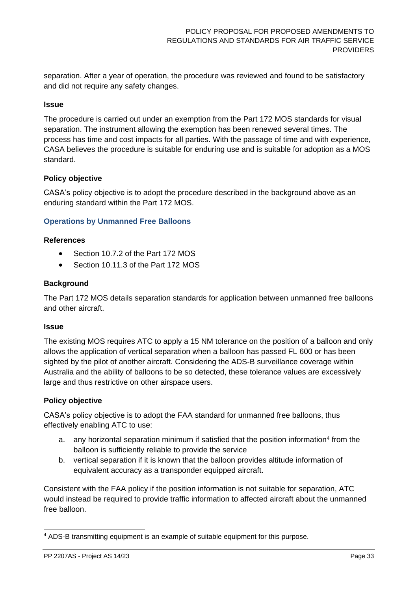separation. After a year of operation, the procedure was reviewed and found to be satisfactory and did not require any safety changes.

#### **Issue**

The procedure is carried out under an exemption from the Part 172 MOS standards for visual separation. The instrument allowing the exemption has been renewed several times. The process has time and cost impacts for all parties. With the passage of time and with experience, CASA believes the procedure is suitable for enduring use and is suitable for adoption as a MOS standard.

#### **Policy objective**

CASA's policy objective is to adopt the procedure described in the background above as an enduring standard within the Part 172 MOS.

#### **Operations by Unmanned Free Balloons**

#### **References**

- Section 10.7.2 of the Part 172 MOS
- Section 10.11.3 of the Part 172 MOS

#### **Background**

The Part 172 MOS details separation standards for application between unmanned free balloons and other aircraft.

#### **Issue**

The existing MOS requires ATC to apply a 15 NM tolerance on the position of a balloon and only allows the application of vertical separation when a balloon has passed FL 600 or has been sighted by the pilot of another aircraft. Considering the ADS-B surveillance coverage within Australia and the ability of balloons to be so detected, these tolerance values are excessively large and thus restrictive on other airspace users.

#### **Policy objective**

CASA's policy objective is to adopt the FAA standard for unmanned free balloons, thus effectively enabling ATC to use:

- a. any horizontal separation minimum if satisfied that the position information<sup>4</sup> from the balloon is sufficiently reliable to provide the service
- b. vertical separation if it is known that the balloon provides altitude information of equivalent accuracy as a transponder equipped aircraft.

Consistent with the FAA policy if the position information is not suitable for separation, ATC would instead be required to provide traffic information to affected aircraft about the unmanned free balloon.

<sup>4</sup> ADS-B transmitting equipment is an example of suitable equipment for this purpose.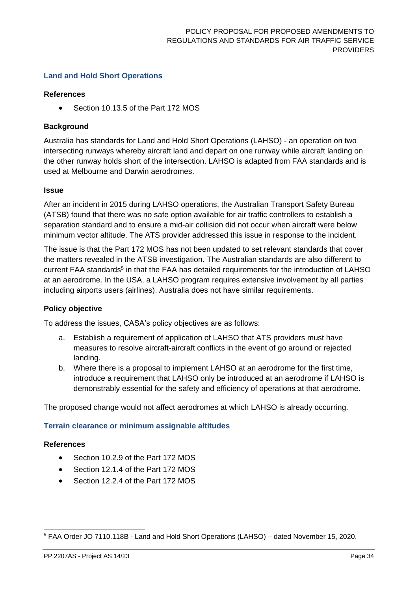#### **Land and Hold Short Operations**

#### **References**

• Section 10.13.5 of the Part 172 MOS

#### **Background**

Australia has standards for Land and Hold Short Operations (LAHSO) - an operation on two intersecting runways whereby aircraft land and depart on one runway while aircraft landing on the other runway holds short of the intersection. LAHSO is adapted from FAA standards and is used at Melbourne and Darwin aerodromes.

#### **Issue**

After an incident in 2015 during LAHSO operations, the Australian Transport Safety Bureau (ATSB) found that there was no safe option available for air traffic controllers to establish a separation standard and to ensure a mid-air collision did not occur when aircraft were below minimum vector altitude. The ATS provider addressed this issue in response to the incident.

The issue is that the Part 172 MOS has not been updated to set relevant standards that cover the matters revealed in the ATSB investigation. The Australian standards are also different to current FAA standards<sup>5</sup> in that the FAA has detailed requirements for the introduction of LAHSO at an aerodrome. In the USA, a LAHSO program requires extensive involvement by all parties including airports users (airlines). Australia does not have similar requirements.

#### **Policy objective**

To address the issues, CASA's policy objectives are as follows:

- a. Establish a requirement of application of LAHSO that ATS providers must have measures to resolve aircraft-aircraft conflicts in the event of go around or rejected landing.
- b. Where there is a proposal to implement LAHSO at an aerodrome for the first time, introduce a requirement that LAHSO only be introduced at an aerodrome if LAHSO is demonstrably essential for the safety and efficiency of operations at that aerodrome.

The proposed change would not affect aerodromes at which LAHSO is already occurring.

#### **Terrain clearance or minimum assignable altitudes**

#### **References**

- Section 10.2.9 of the Part 172 MOS
- Section 12.1.4 of the Part 172 MOS
- Section 12.2.4 of the Part 172 MOS

<sup>5</sup> FAA Order JO 7110.118B - Land and Hold Short Operations (LAHSO) – dated November 15, 2020.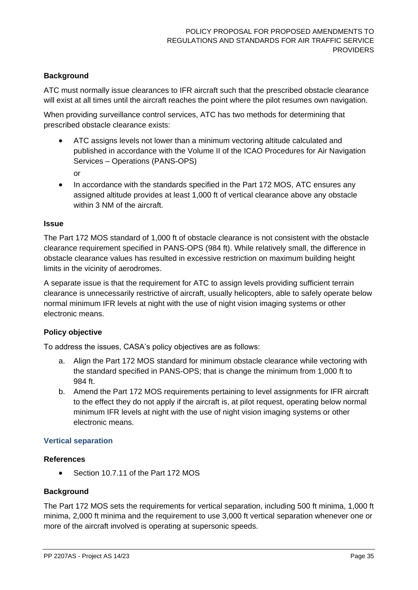#### **Background**

ATC must normally issue clearances to IFR aircraft such that the prescribed obstacle clearance will exist at all times until the aircraft reaches the point where the pilot resumes own navigation.

When providing surveillance control services, ATC has two methods for determining that prescribed obstacle clearance exists:

• ATC assigns levels not lower than a minimum vectoring altitude calculated and published in accordance with the Volume II of the ICAO Procedures for Air Navigation Services – Operations (PANS-OPS)

or

• In accordance with the standards specified in the Part 172 MOS, ATC ensures any assigned altitude provides at least 1,000 ft of vertical clearance above any obstacle within 3 NM of the aircraft.

#### **Issue**

The Part 172 MOS standard of 1,000 ft of obstacle clearance is not consistent with the obstacle clearance requirement specified in PANS-OPS (984 ft). While relatively small, the difference in obstacle clearance values has resulted in excessive restriction on maximum building height limits in the vicinity of aerodromes.

A separate issue is that the requirement for ATC to assign levels providing sufficient terrain clearance is unnecessarily restrictive of aircraft, usually helicopters, able to safely operate below normal minimum IFR levels at night with the use of night vision imaging systems or other electronic means.

#### **Policy objective**

To address the issues, CASA's policy objectives are as follows:

- a. Align the Part 172 MOS standard for minimum obstacle clearance while vectoring with the standard specified in PANS-OPS; that is change the minimum from 1,000 ft to 984 ft.
- b. Amend the Part 172 MOS requirements pertaining to level assignments for IFR aircraft to the effect they do not apply if the aircraft is, at pilot request, operating below normal minimum IFR levels at night with the use of night vision imaging systems or other electronic means.

#### **Vertical separation**

#### **References**

• Section 10.7.11 of the Part 172 MOS

#### **Background**

The Part 172 MOS sets the requirements for vertical separation, including 500 ft minima, 1,000 ft minima, 2,000 ft minima and the requirement to use 3,000 ft vertical separation whenever one or more of the aircraft involved is operating at supersonic speeds.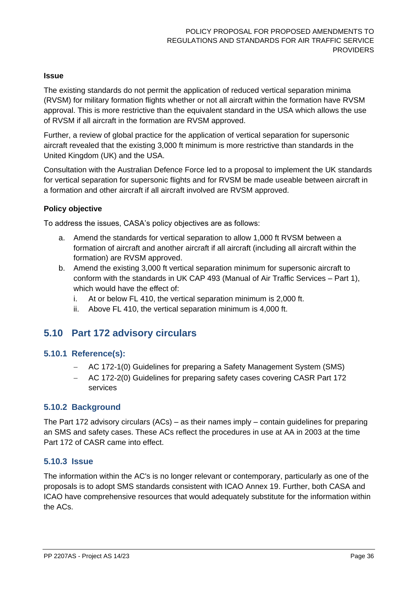#### **Issue**

The existing standards do not permit the application of reduced vertical separation minima (RVSM) for military formation flights whether or not all aircraft within the formation have RVSM approval. This is more restrictive than the equivalent standard in the USA which allows the use of RVSM if all aircraft in the formation are RVSM approved.

Further, a review of global practice for the application of vertical separation for supersonic aircraft revealed that the existing 3,000 ft minimum is more restrictive than standards in the United Kingdom (UK) and the USA.

Consultation with the Australian Defence Force led to a proposal to implement the UK standards for vertical separation for supersonic flights and for RVSM be made useable between aircraft in a formation and other aircraft if all aircraft involved are RVSM approved.

#### **Policy objective**

To address the issues, CASA's policy objectives are as follows:

- a. Amend the standards for vertical separation to allow 1,000 ft RVSM between a formation of aircraft and another aircraft if all aircraft (including all aircraft within the formation) are RVSM approved.
- b. Amend the existing 3,000 ft vertical separation minimum for supersonic aircraft to conform with the standards in UK CAP 493 (Manual of Air Traffic Services – Part 1), which would have the effect of:
	- i. At or below FL 410, the vertical separation minimum is 2,000 ft.
	- ii. Above FL 410, the vertical separation minimum is 4,000 ft.

### <span id="page-35-0"></span>**5.10 Part 172 advisory circulars**

#### **5.10.1 Reference(s):**

- − AC 172-1(0) Guidelines for preparing a Safety Management System (SMS)
- − AC 172-2(0) Guidelines for preparing safety cases covering CASR Part 172 services

#### **5.10.2 Background**

The Part 172 advisory circulars (ACs) – as their names imply – contain guidelines for preparing an SMS and safety cases. These ACs reflect the procedures in use at AA in 2003 at the time Part 172 of CASR came into effect.

#### **5.10.3 Issue**

The information within the AC's is no longer relevant or contemporary, particularly as one of the proposals is to adopt SMS standards consistent with ICAO Annex 19. Further, both CASA and ICAO have comprehensive resources that would adequately substitute for the information within the ACs.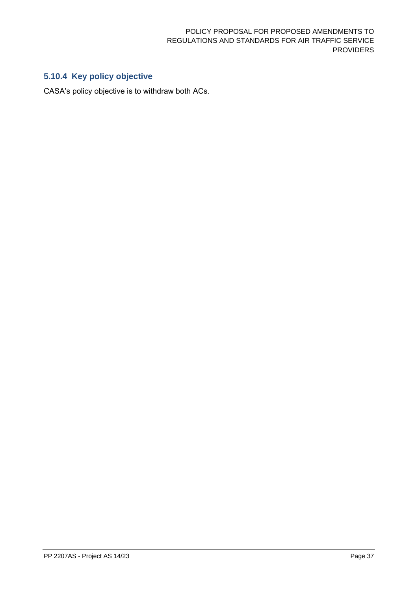## **5.10.4 Key policy objective**

CASA's policy objective is to withdraw both ACs.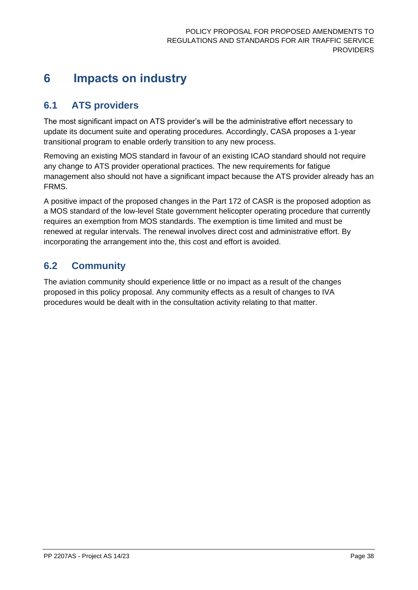## <span id="page-37-0"></span>**6 Impacts on industry**

## <span id="page-37-1"></span>**6.1 ATS providers**

The most significant impact on ATS provider's will be the administrative effort necessary to update its document suite and operating procedures. Accordingly, CASA proposes a 1-year transitional program to enable orderly transition to any new process.

Removing an existing MOS standard in favour of an existing ICAO standard should not require any change to ATS provider operational practices. The new requirements for fatigue management also should not have a significant impact because the ATS provider already has an FRMS.

A positive impact of the proposed changes in the Part 172 of CASR is the proposed adoption as a MOS standard of the low-level State government helicopter operating procedure that currently requires an exemption from MOS standards. The exemption is time limited and must be renewed at regular intervals. The renewal involves direct cost and administrative effort. By incorporating the arrangement into the, this cost and effort is avoided.

## <span id="page-37-2"></span>**6.2 Community**

The aviation community should experience little or no impact as a result of the changes proposed in this policy proposal. Any community effects as a result of changes to IVA procedures would be dealt with in the consultation activity relating to that matter.